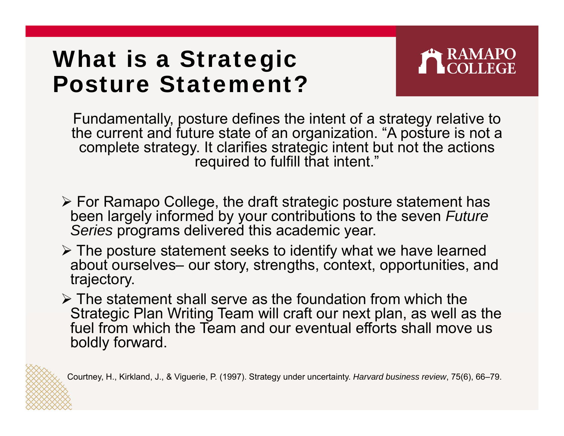# What is a Strategic Posture Statement?

Fundamentally, posture defines the intent of a strategy relative to the current and future state of an organization. "A posture is not a complete strategy. It clarifies strategic intent but not the actions required to fulfill that intent."

- For Ramapo College, the draft strategic posture statement has been largely informed by your contributions to the seven *Future Series* programs delivered this academic year.
- $\triangleright$  The posture statement seeks to identify what we have learned about ourselves– our story, strengths, context, opportunities, and trajectory.
- $\triangleright$  The statement shall serve as the foundation from which the Strategic Plan Writing Team will craft our next plan, as well as the fuel from which the Team and our eventual efforts shall move us boldly forward.

Courtney, H., Kirkland, J., & Viguerie, P. (1997). Strategy under uncertainty. *Harvard business review*, 75(6), 66–79.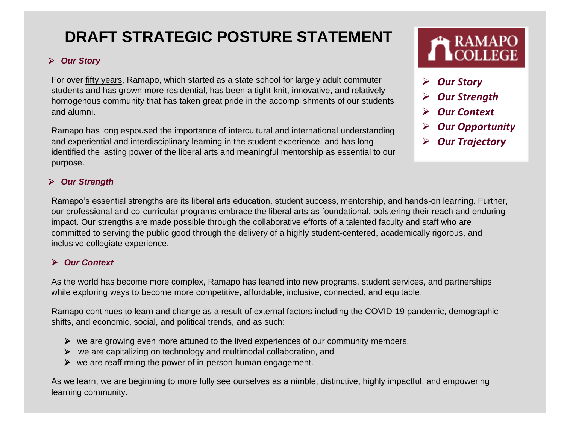## **DRAFT STRATEGIC POSTURE STATEMENT**

### *Our Story*

For ove[r](https://www.ramapo.edu/about/mission/) [fifty years,](https://www.ramapo.edu/about/mission/) Ramapo, which started as a state school for largely adult commuter students and has grown more residential, has been a tight-knit, innovative, and relatively homogenous community that has taken great pride in the accomplishments of our students and alumni.

Ramapo has long espoused the importance of intercultural and international understanding and experiential and interdisciplinary learning in the student experience, and has long identified the lasting power of the liberal arts and meaningful mentorship as essential to our purpose.

#### *Our Strength*

Ramapo's essential strengths are its liberal arts education, student success, mentorship, and hands-on learning. Further, our professional and co-curricular programs embrace the liberal arts as foundational, bolstering their reach and enduring impact. Our strengths are made possible through the collaborative efforts of a talented faculty and staff who are committed to serving the public good through the delivery of a highly student-centered, academically rigorous, and inclusive collegiate experience.

#### *Our Context*

As the world has become more complex, Ramapo has leaned into new programs, student services, and partnerships while exploring ways to become more competitive, affordable, inclusive, connected, and equitable.

Ramapo continues to learn and change as a result of external factors including the COVID-19 pandemic, demographic shifts, and economic, social, and political trends, and as such:

- $\triangleright$  we are growing even more attuned to the lived experiences of our community members,
- $\triangleright$  we are capitalizing on technology and multimodal collaboration, and
- $\triangleright$  we are reaffirming the power of in-person human engagement.

As we learn, we are beginning to more fully see ourselves as a nimble, distinctive, highly impactful, and empowering learning community.

- *Our Story*
- *Our Strength*
- *Our Context*
- *Our Opportunity*
- *Our Trajectory*